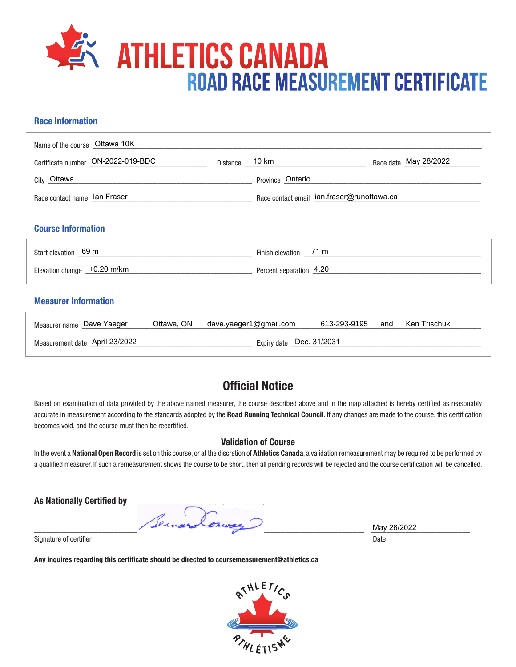

## **Race Information**

| Name of the course Ottawa 10K      |                |                                            |                       |  |  |  |  |
|------------------------------------|----------------|--------------------------------------------|-----------------------|--|--|--|--|
| Certificate number ON-2022-019-BDC | Distance 10 km |                                            | Race date May 28/2022 |  |  |  |  |
| City Ottawa                        |                | Province Ontario                           |                       |  |  |  |  |
| Race contact name lan Fraser       |                | Race contact email ian.fraser@runottawa.ca |                       |  |  |  |  |
| <b>Course Information</b>          |                |                                            |                       |  |  |  |  |
| Start elevation 69 m               |                | Finish elevation _____71 m                 |                       |  |  |  |  |
| Elevation change +0.20 m/km        |                | Percent separation 4.20                    |                       |  |  |  |  |
| <b>Measurer Information</b>        |                |                                            |                       |  |  |  |  |

| Measurer name Dave Yaeger      | Ottawa, ON | dave.yaeger1@gmail.com | 613-293-9195 | and | Ken Trischuk |
|--------------------------------|------------|------------------------|--------------|-----|--------------|
| Measurement date April 23/2022 |            |                        |              |     |              |

## **Official Notice**

Based on examination of data provided by the above named measurer, the course described above and in the map attached is hereby certified as reasonably accurate in measurement according to the standards adopted by the **Road Running Technical Council**. If any changes are made to the course, this certification becomes void, and the course must then be recertified.

## **Validation of Course**

In the event a **National Open Record** is set on this course, or at the discretion of **Athletics Canada**, a validation remeasurement may be required to be performed by a qualified measurer. If such a remeasurement shows the course to be short, then all pending records will be rejected and the course certification will be cancelled.

**As Nationally Certified by**

\_\_\_\_\_\_\_\_\_\_\_\_\_\_\_\_\_\_\_\_\_\_\_\_\_\_\_\_\_\_\_\_\_\_\_\_\_\_\_\_\_\_\_\_\_\_\_\_\_\_\_\_\_\_\_\_\_\_\_\_\_\_\_\_\_\_\_\_\_\_\_\_\_\_\_\_\_\_\_\_\_\_\_\_\_\_\_ \_\_\_\_\_\_\_\_\_\_\_\_\_\_\_\_\_\_\_\_\_\_\_\_\_\_

Signature of certifier Date Date of Certifier and Contract of Certifier and Date Date of Certifier and Date Date of Certifier and Date of Certifier and Date of Certifier and Date of Certifier and Date of Certifier and Date

**Any inquires regarding this certificate should be directed to coursemeasurement@athletics.ca**



May 26/2022